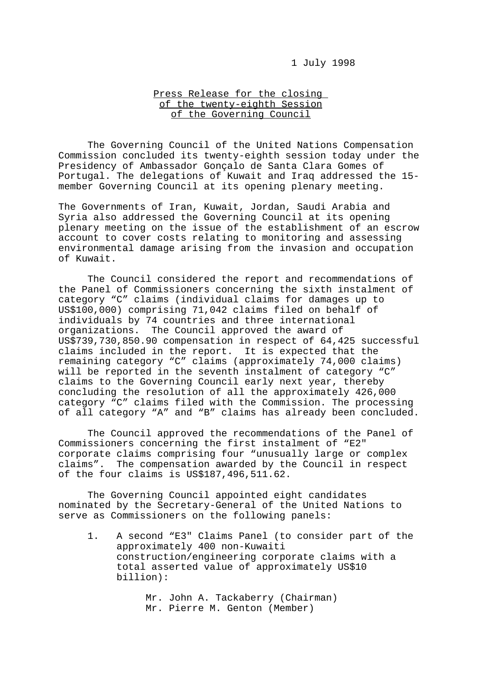## 1 July 1998

## Press Release for the closing of the twenty-eighth Session of the Governing Council

The Governing Council of the United Nations Compensation Commission concluded its twenty-eighth session today under the Presidency of Ambassador Gonçalo de Santa Clara Gomes of Portugal. The delegations of Kuwait and Iraq addressed the 15 member Governing Council at its opening plenary meeting.

The Governments of Iran, Kuwait, Jordan, Saudi Arabia and Syria also addressed the Governing Council at its opening plenary meeting on the issue of the establishment of an escrow account to cover costs relating to monitoring and assessing environmental damage arising from the invasion and occupation of Kuwait.

The Council considered the report and recommendations of the Panel of Commissioners concerning the sixth instalment of category "C" claims (individual claims for damages up to US\$100,000) comprising 71,042 claims filed on behalf of individuals by 74 countries and three international organizations. The Council approved the award of US\$739,730,850.90 compensation in respect of 64,425 successful claims included in the report. It is expected that the remaining category "C" claims (approximately 74,000 claims) will be reported in the seventh instalment of category "C" claims to the Governing Council early next year, thereby concluding the resolution of all the approximately 426,000 category "C" claims filed with the Commission. The processing of all category "A" and "B" claims has already been concluded.

The Council approved the recommendations of the Panel of Commissioners concerning the first instalment of "E2" corporate claims comprising four "unusually large or complex claims". The compensation awarded by the Council in respect of the four claims is US\$187,496,511.62.

The Governing Council appointed eight candidates nominated by the Secretary-General of the United Nations to serve as Commissioners on the following panels:

1. A second "E3" Claims Panel (to consider part of the approximately 400 non-Kuwaiti construction/engineering corporate claims with a total asserted value of approximately US\$10 billion):

> Mr. John A. Tackaberry (Chairman) Mr. Pierre M. Genton (Member)